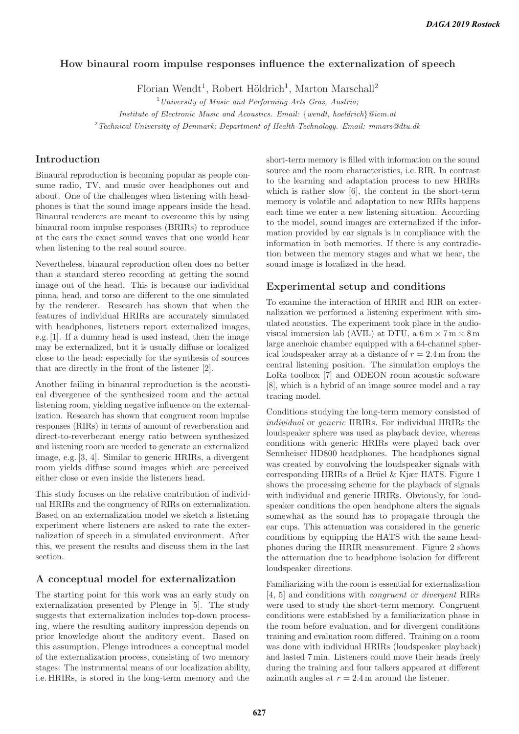# **How binaural room impulse responses influence the externalization of speech**

Florian Wendt<sup>1</sup>, Robert Höldrich<sup>1</sup>, Marton Marschall<sup>2</sup>

 $1$ University of Music and Performing Arts Graz, Austria;

Institute of Electronic Music and Acoustics. Email: {wendt, hoeldrich}@iem.at

<sup>2</sup> Technical University of Denmark; Department of Health Technology. Email: mmars@dtu.dk

### **Introduction**

Binaural reproduction is becoming popular as people consume radio, TV, and music over headphones out and about. One of the challenges when listening with headphones is that the sound image appears inside the head. Binaural renderers are meant to overcome this by using binaural room impulse responses (BRIRs) to reproduce at the ears the exact sound waves that one would hear when listening to the real sound source.

Nevertheless, binaural reproduction often does no better than a standard stereo recording at getting the sound image out of the head. This is because our individual pinna, head, and torso are different to the one simulated by the renderer. Research has shown that when the features of individual HRIRs are accurately simulated with headphones, listeners report externalized images, e.g. [1]. If a dummy head is used instead, then the image may be externalized, but it is usually diffuse or localized close to the head; especially for the synthesis of sources that are directly in the front of the listener [2].

Another failing in binaural reproduction is the acoustical divergence of the synthesized room and the actual listening room, yielding negative influence on the externalization. Research has shown that congruent room impulse responses (RIRs) in terms of amount of reverberation and direct-to-reverberant energy ratio between synthesized and listening room are needed to generate an externalized image, e.g. [3, 4]. Similar to generic HRIRs, a divergent room yields diffuse sound images which are perceived either close or even inside the listeners head.

This study focuses on the relative contribution of individual HRIRs and the congruency of RIRs on externalization. Based on an externalization model we sketch a listening experiment where listeners are asked to rate the externalization of speech in a simulated environment. After this, we present the results and discuss them in the last section.

#### **A conceptual model for externalization**

The starting point for this work was an early study on externalization presented by Plenge in [5]. The study suggests that externalization includes top-down processing, where the resulting auditory impression depends on prior knowledge about the auditory event. Based on this assumption, Plenge introduces a conceptual model of the externalization process, consisting of two memory stages: The instrumental means of our localization ability, i.e. HRIRs, is stored in the long-term memory and the

short-term memory is filled with information on the sound source and the room characteristics, i.e. RIR. In contrast to the learning and adaptation process to new HRIRs which is rather slow [6], the content in the short-term memory is volatile and adaptation to new RIRs happens each time we enter a new listening situation. According to the model, sound images are externalized if the information provided by ear signals is in compliance with the information in both memories. If there is any contradiction between the memory stages and what we hear, the sound image is localized in the head.

#### **Experimental setup and conditions**

To examine the interaction of HRIR and RIR on externalization we performed a listening experiment with simulated acoustics. The experiment took place in the audiovisual immersion lab (AVIL) at DTU, a  $6 \text{ m} \times 7 \text{ m} \times 8 \text{ m}$ large anechoic chamber equipped with a 64-channel spherical loudspeaker array at a distance of  $r = 2.4$  m from the central listening position. The simulation employs the LoRa toolbox [7] and ODEON room acoustic software [8], which is a hybrid of an image source model and a ray tracing model.

Conditions studying the long-term memory consisted of individual or generic HRIRs. For individual HRIRs the loudspeaker sphere was used as playback device, whereas conditions with generic HRIRs were played back over Sennheiser HD800 headphones. The headphones signal was created by convolving the loudspeaker signals with corresponding HRIRs of a Brüel  $\&$  Kiær HATS. Figure 1 shows the processing scheme for the playback of signals with individual and generic HRIRs. Obviously, for loudspeaker conditions the open headphone alters the signals somewhat as the sound has to propagate through the ear cups. This attenuation was considered in the generic conditions by equipping the HATS with the same headphones during the HRIR measurement. Figure 2 shows the attenuation due to headphone isolation for different loudspeaker directions.

Familiarizing with the room is essential for externalization [4, 5] and conditions with congruent or divergent RIRs were used to study the short-term memory. Congruent conditions were established by a familiarization phase in the room before evaluation, and for divergent conditions training and evaluation room differed. Training on a room was done with individual HRIRs (loudspeaker playback) and lasted 7 min. Listeners could move their heads freely during the training and four talkers appeared at different azimuth angles at  $r = 2.4$  m around the listener.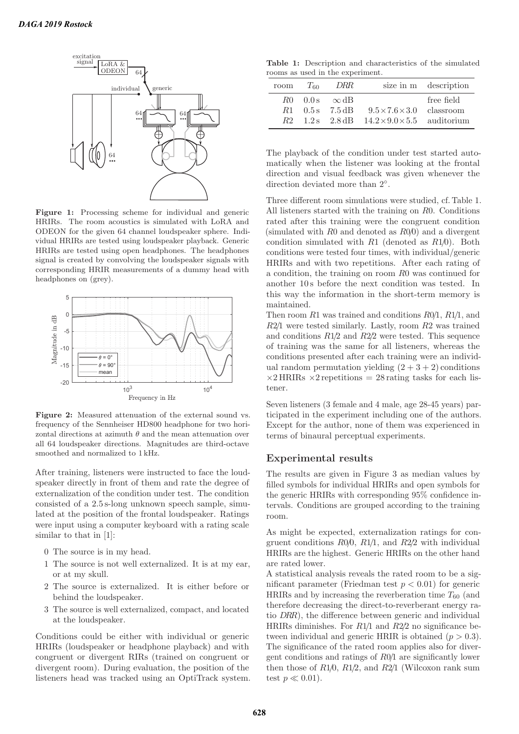

Figure 1: Processing scheme for individual and generic HRIRs. The room acoustics is simulated with LoRA and ODEON for the given 64 channel loudspeaker sphere. Individual HRIRs are tested using loudspeaker playback. Generic HRIRs are tested using open headphones. The headphones signal is created by convolving the loudspeaker signals with corresponding HRIR measurements of a dummy head with headphones on (grey).



**Figure 2:** Measured attenuation of the external sound vs. frequency of the Sennheiser HD800 headphone for two horizontal directions at azimuth  $\theta$  and the mean attenuation over all 64 loudspeaker directions. Magnitudes are third-octave smoothed and normalized to 1 kHz.

After training, listeners were instructed to face the loudspeaker directly in front of them and rate the degree of externalization of the condition under test. The condition consisted of a 2.5 s-long unknown speech sample, simulated at the position of the frontal loudspeaker. Ratings were input using a computer keyboard with a rating scale similar to that in [1]:

- 0 The source is in my head.
- 1 The source is not well externalized. It is at my ear, or at my skull.
- 2 The source is externalized. It is either before or behind the loudspeaker.
- 3 The source is well externalized, compact, and located at the loudspeaker.

Conditions could be either with individual or generic HRIRs (loudspeaker or headphone playback) and with congruent or divergent RIRs (trained on congruent or divergent room). During evaluation, the position of the listeners head was tracked using an OptiTrack system.

**Table 1:** Description and characteristics of the simulated rooms as used in the experiment.

| room | $T_{60}$ | DRR                                                                             |                                                                                                            | size in m description |
|------|----------|---------------------------------------------------------------------------------|------------------------------------------------------------------------------------------------------------|-----------------------|
|      |          | $R0$ $0.0$ s $\infty$ dB<br>$R1 \quad 0.5 \,\mathrm{s} \quad 7.5 \,\mathrm{dB}$ | $9.5 \times 7.6 \times 3.0$ classroom<br>$R2 \quad 1.2$ s $2.8$ dB $14.2 \times 9.0 \times 5.5$ auditorium | free field            |

The playback of the condition under test started automatically when the listener was looking at the frontal direction and visual feedback was given whenever the direction deviated more than 2◦.

Three different room simulations were studied, cf. Table 1. All listeners started with the training on R0. Conditions rated after this training were the congruent condition (simulated with R0 and denoted as R0/0) and a divergent condition simulated with  $R1$  (denoted as  $R1/0$ ). Both conditions were tested four times, with individual/generic HRIRs and with two repetitions. After each rating of a condition, the training on room R0 was continued for another 10 s before the next condition was tested. In this way the information in the short-term memory is maintained.

Then room  $R1$  was trained and conditions  $R0/1$ ,  $R1/1$ , and R2/1 were tested similarly. Lastly, room R2 was trained and conditions  $R1/2$  and  $R2/2$  were tested. This sequence of training was the same for all listeners, whereas the conditions presented after each training were an individual random permutation yielding  $(2 + 3 + 2)$  conditions  $\times$ 2 HRIRs  $\times$ 2 repetitions = 28 rating tasks for each listener.

Seven listeners (3 female and 4 male, age 28-45 years) participated in the experiment including one of the authors. Except for the author, none of them was experienced in terms of binaural perceptual experiments.

### **Experimental results**

The results are given in Figure 3 as median values by filled symbols for individual HRIRs and open symbols for the generic HRIRs with corresponding 95% confidence intervals. Conditions are grouped according to the training room.

As might be expected, externalization ratings for congruent conditions  $R0/0$ ,  $R1/1$ , and  $R2/2$  with individual HRIRs are the highest. Generic HRIRs on the other hand are rated lower.

A statistical analysis reveals the rated room to be a significant parameter (Friedman test  $p < 0.01$ ) for generic HRIRs and by increasing the reverberation time  $T_{60}$  (and therefore decreasing the direct-to-reverberant energy ratio DRR), the difference between generic and individual HRIRs diminishes. For  $R1/1$  and  $R2/2$  no significance between individual and generic HRIR is obtained  $(p > 0.3)$ . The significance of the rated room applies also for divergent conditions and ratings of R0/1 are significantly lower then those of  $R1/0$ ,  $R1/2$ , and  $R2/1$  (Wilcoxon rank sum test  $p \ll 0.01$ ).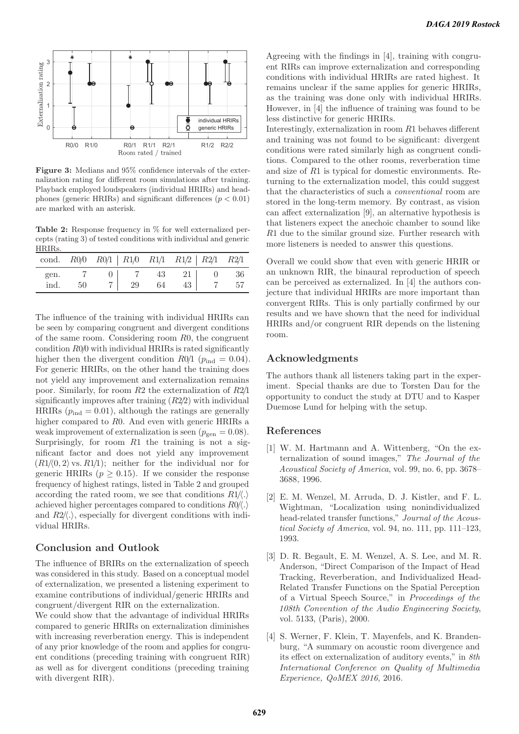

**Figure 3:** Medians and 95% confidence intervals of the externalization rating for different room simulations after training. Playback employed loudspeakers (individual HRIRs) and headphones (generic HRIRs) and significant differences ( $p < 0.01$ ) are marked with an asterisk.

**Table 2:** Response frequency in % for well externalized percepts (rating 3) of tested conditions with individual and generic HRIRs.

|              |      | cond. $R0/0$ $R0/1$   $R1/0$ $R1/1$ $R1/2$   $R2/1$ $R2/1$ |  |                 |  |
|--------------|------|------------------------------------------------------------|--|-----------------|--|
| gen.<br>ind. | - 50 | 7 0 7 43 21 0 36                                           |  | 7 29 64 43 7 57 |  |

The influence of the training with individual HRIRs can be seen by comparing congruent and divergent conditions of the same room. Considering room R0, the congruent condition  $R0/0$  with individual HRIRs is rated significantly higher then the divergent condition  $R0/1$  ( $p_{\text{ind}} = 0.04$ ). For generic HRIRs, on the other hand the training does not yield any improvement and externalization remains poor. Similarly, for room R2 the externalization of R2/1 significantly improves after training  $(R2/2)$  with individual HRIRs  $(p_{\text{ind}} = 0.01)$ , although the ratings are generally higher compared to R0. And even with generic HRIRs a weak improvement of externalization is seen  $(p_{gen} = 0.08)$ . Surprisingly, for room  $R1$  the training is not a significant factor and does not yield any improvement  $(R1/\langle 0, 2 \rangle \text{ vs. } R1/\mathbf{1});$  neither for the individual nor for generic HRIRs ( $p \geq 0.15$ ). If we consider the response frequency of highest ratings, listed in Table 2 and grouped according the rated room, we see that conditions  $R1/\langle . \rangle$ achieved higher percentages compared to conditions  $R0/\langle . \rangle$ and  $R2/\langle\cdot\rangle$ , especially for divergent conditions with individual HRIRs.

### **Conclusion and Outlook**

The influence of BRIRs on the externalization of speech was considered in this study. Based on a conceptual model of externalization, we presented a listening experiment to examine contributions of individual/generic HRIRs and congruent/divergent RIR on the externalization.

We could show that the advantage of individual HRIRs compared to generic HRIRs on externalization diminishes with increasing reverberation energy. This is independent of any prior knowledge of the room and applies for congruent conditions (preceding training with congruent RIR) as well as for divergent conditions (preceding training with divergent RIR).

Agreeing with the findings in [4], training with congruent RIRs can improve externalization and corresponding conditions with individual HRIRs are rated highest. It remains unclear if the same applies for generic HRIRs, as the training was done only with individual HRIRs. However, in [4] the influence of training was found to be less distinctive for generic HRIRs.

Interestingly, externalization in room R1 behaves different and training was not found to be significant: divergent conditions were rated similarly high as congruent conditions. Compared to the other rooms, reverberation time and size of R1 is typical for domestic environments. Returning to the externalization model, this could suggest that the characteristics of such a conventional room are stored in the long-term memory. By contrast, as vision can affect externalization [9], an alternative hypothesis is that listeners expect the anechoic chamber to sound like R1 due to the similar ground size. Further research with more listeners is needed to answer this questions.

Overall we could show that even with generic HRIR or an unknown RIR, the binaural reproduction of speech can be perceived as externalized. In [4] the authors conjecture that individual HRIRs are more important than convergent RIRs. This is only partially confirmed by our results and we have shown that the need for individual HRIRs and/or congruent RIR depends on the listening room.

# **Acknowledgments**

The authors thank all listeners taking part in the experiment. Special thanks are due to Torsten Dau for the opportunity to conduct the study at DTU and to Kasper Duemose Lund for helping with the setup.

#### **References**

- [1] W. M. Hartmann and A. Wittenberg, "On the externalization of sound images," The Journal of the Acoustical Society of America, vol. 99, no. 6, pp. 3678– 3688, 1996.
- [2] E. M. Wenzel, M. Arruda, D. J. Kistler, and F. L. Wightman, "Localization using nonindividualized head-related transfer functions," Journal of the Acoustical Society of America, vol. 94, no. 111, pp. 111–123, 1993.
- [3] D. R. Begault, E. M. Wenzel, A. S. Lee, and M. R. Anderson, "Direct Comparison of the Impact of Head Tracking, Reverberation, and Individualized Head-Related Transfer Functions on the Spatial Perception of a Virtual Speech Source," in Proceedings of the 108th Convention of the Audio Engineering Society, vol. 5133, (Paris), 2000.
- [4] S. Werner, F. Klein, T. Mayenfels, and K. Brandenburg, "A summary on acoustic room divergence and its effect on externalization of auditory events," in 8th International Conference on Quality of Multimedia Experience, QoMEX 2016, 2016.